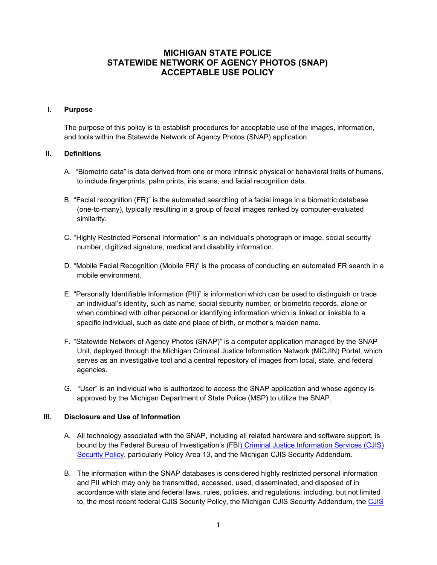# **MICHIGAN STATE POLICE STATEWIDE NETWORK OF AGENCY PHOTOS (SNAP) ACCEPTABLE USE POLICY**

## **I. Purpose**

The purpose of this policy is to establish procedures for acceptable use of the images, information, and tools within the Statewide Network of Agency Photos (SNAP) application.

### **II. Definitions**

- A. "Biometric data" is data derived from one or more intrinsic physical or behavioral traits of humans, to include fingerprints, palm prints, iris scans, and facial recognition data.
- B. "Facial recognition (FR)" is the automated searching of a facial image in a biometric database (one-to-many), typically resulting in a group of facial images ranked by computer-evaluated similarity.
- C. "Highly Restricted Personal Information" is an individual's photograph or image, social security number, digitized signature, medical and disability information.
- D. "Mobile Facial Recognition (Mobile FR)" is the process of conducting an automated FR search in a mobile environment.
- E. "Personally Identifiable Information (PII)" is information which can be used to distinguish or trace an individual's identity, such as name, social security number, or biometric records, alone or when combined with other personal or identifying information which is linked or linkable to a specific individual, such as date and place of birth, or mother's maiden name.
- F. "Statewide Network of Agency Photos (SNAP)" is a computer application managed by the SNAP Unit, deployed through the Michigan Criminal Justice Information Network (MiCJIN) Portal, which serves as an investigative tool and a central repository of images from local, state, and federal agencies.
- G. "User" is an individual who is authorized to access the SNAP application and whose agency is approved by the Michigan Department of State Police (MSP) to utilize the SNAP.

#### **III. Disclosure and Use of Information**

- A. All technology associated with the SNAP, including all related hardware and software support, is bound by the Federal Bureau of Investigation's (FB[I\) Criminal Justice Information Services \(CJIS\)](https://www.fbi.gov/about-us/cjis/cjis-security-policy-resource-center/view)  [Security Policy,](https://www.fbi.gov/about-us/cjis/cjis-security-policy-resource-center/view) particularly Policy Area 13, and the Michigan CJIS Security Addendum.
- B. The information within the SNAP databases is considered highly restricted personal information and PII which may only be transmitted, accessed, used, disseminated, and disposed of in accordance with state and federal laws, rules, policies, and regulations; including, but not limited to, the most recent federal [CJIS](http://www.legislature.mi.gov/(S(o53czq32u1ztuwcnujtnvomf))/mileg.aspx?page=GetObject&objectname=mcl-Act-163-of-1974) Security Policy, the Michigan CJIS Security Addendum, the CJIS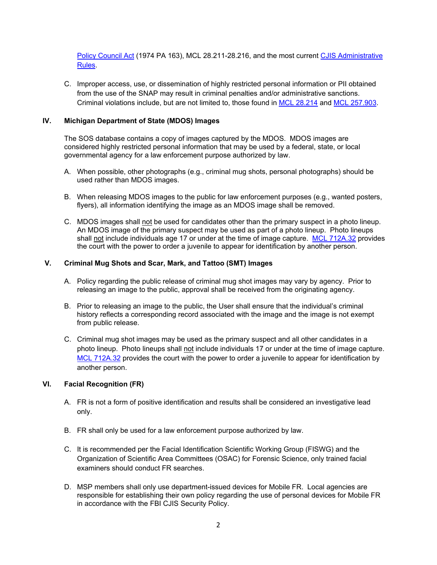[Policy Council Act](http://www.legislature.mi.gov/(S(o53czq32u1ztuwcnujtnvomf))/mileg.aspx?page=GetObject&objectname=mcl-Act-163-of-1974) (1974 PA 163), MCL 28.211-28.216, and the most current [CJIS Administrative](http://dmbinternet.state.mi.us/DMB/ORRDocs/AdminCode/1734_2017-058SP_AdminCode.pdf)  [Rules.](http://dmbinternet.state.mi.us/DMB/ORRDocs/AdminCode/1734_2017-058SP_AdminCode.pdf)

C. Improper access, use, or dissemination of highly restricted personal information or PII obtained from the use of the SNAP may result in criminal penalties and/or administrative sanctions. Criminal violations include, but are not limited to, those found in [MCL 28.214](http://legislature.mi.gov/doc.aspx?mcl-28-214) and [MCL 257.903.](http://legislature.mi.gov/doc.aspx?mcl-257-903)

### **IV. Michigan Department of State (MDOS) Images**

The SOS database contains a copy of images captured by the MDOS. MDOS images are considered highly restricted personal information that may be used by a federal, state, or local governmental agency for a law enforcement purpose authorized by law.

- A. When possible, other photographs (e.g., criminal mug shots, personal photographs) should be used rather than MDOS images.
- B. When releasing MDOS images to the public for law enforcement purposes (e.g., wanted posters, flyers), all information identifying the image as an MDOS image shall be removed.
- C. MDOS images shall not be used for candidates other than the primary suspect in a photo lineup. An MDOS image of the primary suspect may be used as part of a photo lineup. Photo lineups shall not include individuals age 17 or under at the time of image capture. [MCL 712A.32](http://legislature.mi.gov/doc.aspx?mcl-712A-32) provides the court with the power to order a juvenile to appear for identification by another person.

## **V. Criminal Mug Shots and Scar, Mark, and Tattoo (SMT) Images**

- A. Policy regarding the public release of criminal mug shot images may vary by agency. Prior to releasing an image to the public, approval shall be received from the originating agency.
- B. Prior to releasing an image to the public, the User shall ensure that the individual's criminal history reflects a corresponding record associated with the image and the image is not exempt from public release.
- C. Criminal mug shot images may be used as the primary suspect and all other candidates in a photo lineup. Photo lineups shall not include individuals 17 or under at the time of image capture. [MCL 712A.32](http://legislature.mi.gov/doc.aspx?mcl-712A-32) provides the court with the power to order a juvenile to appear for identification by another person.

## **VI. Facial Recognition (FR)**

- A. FR is not a form of positive identification and results shall be considered an investigative lead only.
- B. FR shall only be used for a law enforcement purpose authorized by law.
- C. It is recommended per the Facial Identification Scientific Working Group (FISWG) and the Organization of Scientific Area Committees (OSAC) for Forensic Science, only trained facial examiners should conduct FR searches.
- D. MSP members shall only use department-issued devices for Mobile FR. Local agencies are responsible for establishing their own policy regarding the use of personal devices for Mobile FR in accordance with the FBI CJIS Security Policy.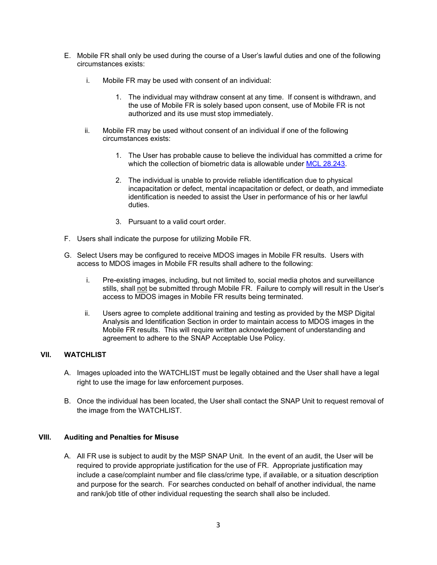- E. Mobile FR shall only be used during the course of a User's lawful duties and one of the following circumstances exists:
	- i. Mobile FR may be used with consent of an individual:
		- 1. The individual may withdraw consent at any time. If consent is withdrawn, and the use of Mobile FR is solely based upon consent, use of Mobile FR is not authorized and its use must stop immediately.
	- ii. Mobile FR may be used without consent of an individual if one of the following circumstances exists:
		- 1. The User has probable cause to believe the individual has committed a crime for which the collection of biometric data is allowable under [MCL 28.243.](http://legislature.mi.gov/doc.aspx?mcl-28-243)
		- 2. The individual is unable to provide reliable identification due to physical incapacitation or defect, mental incapacitation or defect, or death, and immediate identification is needed to assist the User in performance of his or her lawful duties.
		- 3. Pursuant to a valid court order.
- F. Users shall indicate the purpose for utilizing Mobile FR.
- G. Select Users may be configured to receive MDOS images in Mobile FR results. Users with access to MDOS images in Mobile FR results shall adhere to the following:
	- i. Pre-existing images, including, but not limited to, social media photos and surveillance stills, shall not be submitted through Mobile FR. Failure to comply will result in the User's access to MDOS images in Mobile FR results being terminated.
	- ii. Users agree to complete additional training and testing as provided by the MSP Digital Analysis and Identification Section in order to maintain access to MDOS images in the Mobile FR results. This will require written acknowledgement of understanding and agreement to adhere to the SNAP Acceptable Use Policy.

## **VII. WATCHLIST**

- A. Images uploaded into the WATCHLIST must be legally obtained and the User shall have a legal right to use the image for law enforcement purposes.
- B. Once the individual has been located, the User shall contact the SNAP Unit to request removal of the image from the WATCHLIST.

## **VIII. Auditing and Penalties for Misuse**

A. All FR use is subject to audit by the MSP SNAP Unit. In the event of an audit, the User will be required to provide appropriate justification for the use of FR. Appropriate justification may include a case/complaint number and file class/crime type, if available, or a situation description and purpose for the search. For searches conducted on behalf of another individual, the name and rank/job title of other individual requesting the search shall also be included.